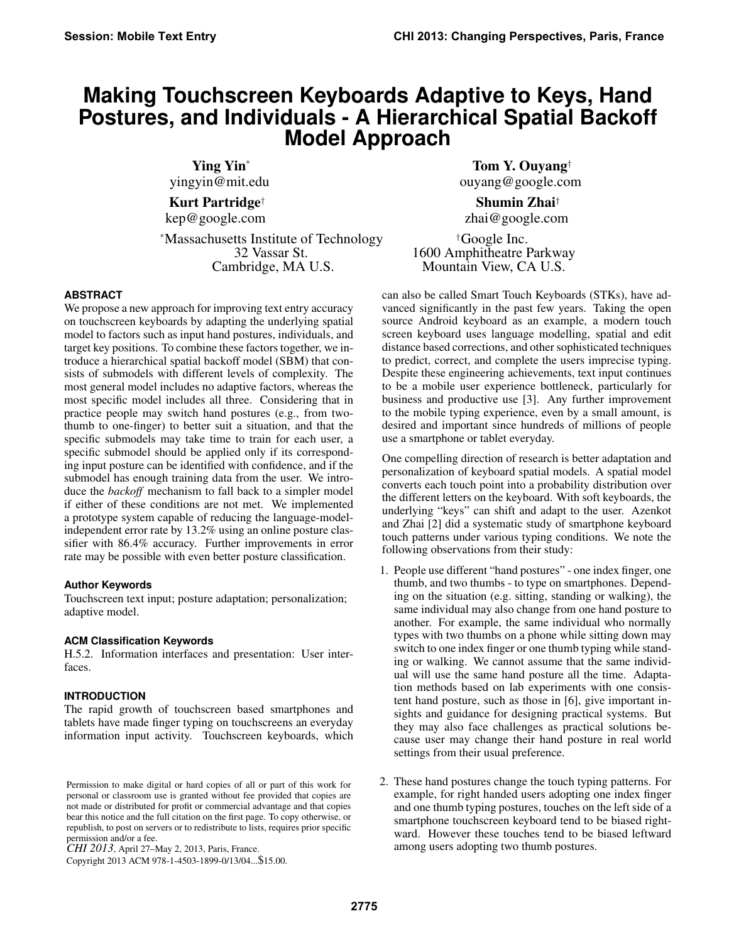# **Making Touchscreen Keyboards Adaptive to Keys, Hand Postures, and Individuals - A Hierarchical Spatial Backoff Model Approach**

Ying Yin\* yingyin@mit.edu

Kurt Partridge†

kep@google.com

\*Massachusetts Institute of Technology †Google Inc. 32 Vassar St. 1600 Amphitheatre Parkway<br>Cambridge, MA U.S. Mountain View, CA U.S.

Tom Y. Ouyang† ouyang@google.com

Shumin Zhai† zhai@google.com

Mountain View, CA U.S.

# **ABSTRACT**

We propose a new approach for improving text entry accuracy on touchscreen keyboards by adapting the underlying spatial model to factors such as input hand postures, individuals, and target key positions. To combine these factors together, we introduce a hierarchical spatial backoff model (SBM) that consists of submodels with different levels of complexity. The most general model includes no adaptive factors, whereas the most specific model includes all three. Considering that in practice people may switch hand postures (e.g., from twothumb to one-finger) to better suit a situation, and that the specific submodels may take time to train for each user, a specific submodel should be applied only if its corresponding input posture can be identified with confidence, and if the submodel has enough training data from the user. We introduce the *backoff* mechanism to fall back to a simpler model if either of these conditions are not met. We implemented a prototype system capable of reducing the language-modelindependent error rate by 13.2% using an online posture classifier with 86.4% accuracy. Further improvements in error rate may be possible with even better posture classification.

# **Author Keywords**

Touchscreen text input; posture adaptation; personalization; adaptive model.

# **ACM Classification Keywords**

H.5.2. Information interfaces and presentation: User interfaces.

# **INTRODUCTION**

The rapid growth of touchscreen based smartphones and tablets have made finger typing on touchscreens an everyday information input activity. Touchscreen keyboards, which

can also be called Smart Touch Keyboards (STKs), have advanced significantly in the past few years. Taking the open source Android keyboard as an example, a modern touch screen keyboard uses language modelling, spatial and edit distance based corrections, and other sophisticated techniques to predict, correct, and complete the users imprecise typing. Despite these engineering achievements, text input continues to be a mobile user experience bottleneck, particularly for business and productive use [\[3\]](#page-9-0). Any further improvement to the mobile typing experience, even by a small amount, is desired and important since hundreds of millions of people use a smartphone or tablet everyday.

One compelling direction of research is better adaptation and personalization of keyboard spatial models. A spatial model converts each touch point into a probability distribution over the different letters on the keyboard. With soft keyboards, the underlying "keys" can shift and adapt to the user. Azenkot and Zhai [\[2\]](#page-9-1) did a systematic study of smartphone keyboard touch patterns under various typing conditions. We note the following observations from their study:

- 1. People use different "hand postures" one index finger, one thumb, and two thumbs - to type on smartphones. Depending on the situation (e.g. sitting, standing or walking), the same individual may also change from one hand posture to another. For example, the same individual who normally types with two thumbs on a phone while sitting down may switch to one index finger or one thumb typing while standing or walking. We cannot assume that the same individual will use the same hand posture all the time. Adaptation methods based on lab experiments with one consistent hand posture, such as those in [\[6\]](#page-9-2), give important insights and guidance for designing practical systems. But they may also face challenges as practical solutions because user may change their hand posture in real world settings from their usual preference.
- 2. These hand postures change the touch typing patterns. For example, for right handed users adopting one index finger and one thumb typing postures, touches on the left side of a smartphone touchscreen keyboard tend to be biased rightward. However these touches tend to be biased leftward among users adopting two thumb postures.

Permission to make digital or hard copies of all or part of this work for personal or classroom use is granted without fee provided that copies are not made or distributed for profit or commercial advantage and that copies bear this notice and the full citation on the first page. To copy otherwise, or republish, to post on servers or to redistribute to lists, requires prior specific permission and/or a fee.

*CHI 2013*, April 27–May 2, 2013, Paris, France.

Copyright 2013 ACM 978-1-4503-1899-0/13/04...\$15.00.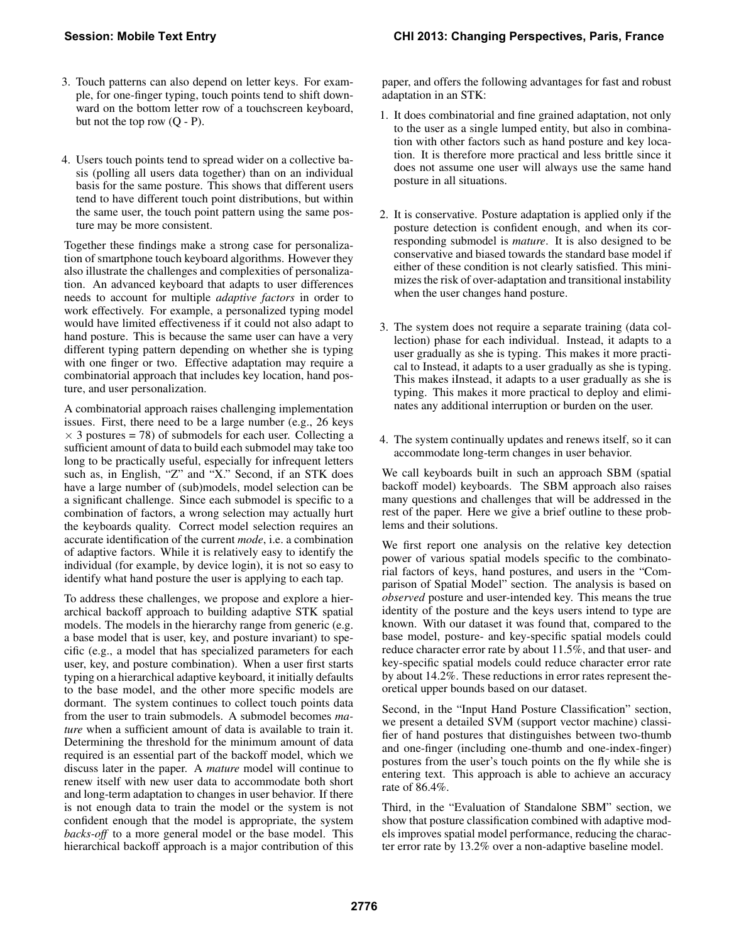- 3. Touch patterns can also depend on letter keys. For example, for one-finger typing, touch points tend to shift downward on the bottom letter row of a touchscreen keyboard, but not the top row  $(Q - P)$ .
- 4. Users touch points tend to spread wider on a collective basis (polling all users data together) than on an individual basis for the same posture. This shows that different users tend to have different touch point distributions, but within the same user, the touch point pattern using the same posture may be more consistent.

Together these findings make a strong case for personalization of smartphone touch keyboard algorithms. However they also illustrate the challenges and complexities of personalization. An advanced keyboard that adapts to user differences needs to account for multiple *adaptive factors* in order to work effectively. For example, a personalized typing model would have limited effectiveness if it could not also adapt to hand posture. This is because the same user can have a very different typing pattern depending on whether she is typing with one finger or two. Effective adaptation may require a combinatorial approach that includes key location, hand posture, and user personalization.

A combinatorial approach raises challenging implementation issues. First, there need to be a large number (e.g., 26 keys  $\times$  3 postures = 78) of submodels for each user. Collecting a sufficient amount of data to build each submodel may take too long to be practically useful, especially for infrequent letters such as, in English, "Z" and "X." Second, if an STK does have a large number of (sub)models, model selection can be a significant challenge. Since each submodel is specific to a combination of factors, a wrong selection may actually hurt the keyboards quality. Correct model selection requires an accurate identification of the current *mode*, i.e. a combination of adaptive factors. While it is relatively easy to identify the individual (for example, by device login), it is not so easy to identify what hand posture the user is applying to each tap.

To address these challenges, we propose and explore a hierarchical backoff approach to building adaptive STK spatial models. The models in the hierarchy range from generic (e.g. a base model that is user, key, and posture invariant) to specific (e.g., a model that has specialized parameters for each user, key, and posture combination). When a user first starts typing on a hierarchical adaptive keyboard, it initially defaults to the base model, and the other more specific models are dormant. The system continues to collect touch points data from the user to train submodels. A submodel becomes *mature* when a sufficient amount of data is available to train it. Determining the threshold for the minimum amount of data required is an essential part of the backoff model, which we discuss later in the paper. A *mature* model will continue to renew itself with new user data to accommodate both short and long-term adaptation to changes in user behavior. If there is not enough data to train the model or the system is not confident enough that the model is appropriate, the system *backs-off* to a more general model or the base model. This hierarchical backoff approach is a major contribution of this

paper, and offers the following advantages for fast and robust adaptation in an STK:

- 1. It does combinatorial and fine grained adaptation, not only to the user as a single lumped entity, but also in combination with other factors such as hand posture and key location. It is therefore more practical and less brittle since it does not assume one user will always use the same hand posture in all situations.
- 2. It is conservative. Posture adaptation is applied only if the posture detection is confident enough, and when its corresponding submodel is *mature*. It is also designed to be conservative and biased towards the standard base model if either of these condition is not clearly satisfied. This minimizes the risk of over-adaptation and transitional instability when the user changes hand posture.
- 3. The system does not require a separate training (data collection) phase for each individual. Instead, it adapts to a user gradually as she is typing. This makes it more practical to Instead, it adapts to a user gradually as she is typing. This makes iInstead, it adapts to a user gradually as she is typing. This makes it more practical to deploy and eliminates any additional interruption or burden on the user.
- 4. The system continually updates and renews itself, so it can accommodate long-term changes in user behavior.

We call keyboards built in such an approach SBM (spatial backoff model) keyboards. The SBM approach also raises many questions and challenges that will be addressed in the rest of the paper. Here we give a brief outline to these problems and their solutions.

We first report one analysis on the relative key detection power of various spatial models specific to the combinatorial factors of keys, hand postures, and users in the "Comparison of Spatial Model" section. The analysis is based on *observed* posture and user-intended key. This means the true identity of the posture and the keys users intend to type are known. With our dataset it was found that, compared to the base model, posture- and key-specific spatial models could reduce character error rate by about 11.5%, and that user- and key-specific spatial models could reduce character error rate by about 14.2%. These reductions in error rates represent theoretical upper bounds based on our dataset.

Second, in the "Input Hand Posture Classification" section, we present a detailed SVM (support vector machine) classifier of hand postures that distinguishes between two-thumb and one-finger (including one-thumb and one-index-finger) postures from the user's touch points on the fly while she is entering text. This approach is able to achieve an accuracy rate of 86.4%.

Third, in the "Evaluation of Standalone SBM" section, we show that posture classification combined with adaptive models improves spatial model performance, reducing the character error rate by 13.2% over a non-adaptive baseline model.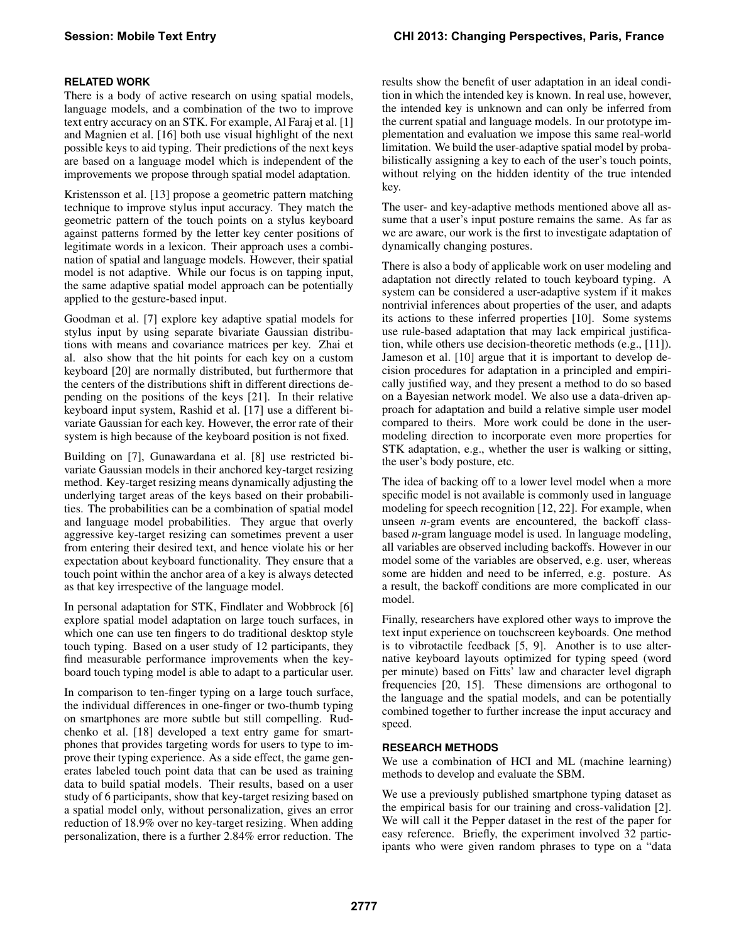# **RELATED WORK**

There is a body of active research on using spatial models, language models, and a combination of the two to improve text entry accuracy on an STK. For example, Al Faraj et al. [\[1\]](#page-9-3) and Magnien et al. [\[16\]](#page-9-4) both use visual highlight of the next possible keys to aid typing. Their predictions of the next keys are based on a language model which is independent of the improvements we propose through spatial model adaptation.

Kristensson et al. [\[13\]](#page-9-5) propose a geometric pattern matching technique to improve stylus input accuracy. They match the geometric pattern of the touch points on a stylus keyboard against patterns formed by the letter key center positions of legitimate words in a lexicon. Their approach uses a combination of spatial and language models. However, their spatial model is not adaptive. While our focus is on tapping input, the same adaptive spatial model approach can be potentially applied to the gesture-based input.

Goodman et al. [\[7\]](#page-9-6) explore key adaptive spatial models for stylus input by using separate bivariate Gaussian distributions with means and covariance matrices per key. Zhai et al. also show that the hit points for each key on a custom keyboard [\[20\]](#page-9-7) are normally distributed, but furthermore that the centers of the distributions shift in different directions depending on the positions of the keys [\[21\]](#page-9-8). In their relative keyboard input system, Rashid et al. [\[17\]](#page-9-9) use a different bivariate Gaussian for each key. However, the error rate of their system is high because of the keyboard position is not fixed.

Building on [\[7\]](#page-9-6), Gunawardana et al. [\[8\]](#page-9-10) use restricted bivariate Gaussian models in their anchored key-target resizing method. Key-target resizing means dynamically adjusting the underlying target areas of the keys based on their probabilities. The probabilities can be a combination of spatial model and language model probabilities. They argue that overly aggressive key-target resizing can sometimes prevent a user from entering their desired text, and hence violate his or her expectation about keyboard functionality. They ensure that a touch point within the anchor area of a key is always detected as that key irrespective of the language model.

In personal adaptation for STK, Findlater and Wobbrock [\[6\]](#page-9-2) explore spatial model adaptation on large touch surfaces, in which one can use ten fingers to do traditional desktop style touch typing. Based on a user study of 12 participants, they find measurable performance improvements when the keyboard touch typing model is able to adapt to a particular user.

In comparison to ten-finger typing on a large touch surface, the individual differences in one-finger or two-thumb typing on smartphones are more subtle but still compelling. Rudchenko et al. [\[18\]](#page-9-11) developed a text entry game for smartphones that provides targeting words for users to type to improve their typing experience. As a side effect, the game generates labeled touch point data that can be used as training data to build spatial models. Their results, based on a user study of 6 participants, show that key-target resizing based on a spatial model only, without personalization, gives an error reduction of 18.9% over no key-target resizing. When adding personalization, there is a further 2.84% error reduction. The

results show the benefit of user adaptation in an ideal condition in which the intended key is known. In real use, however, the intended key is unknown and can only be inferred from the current spatial and language models. In our prototype implementation and evaluation we impose this same real-world limitation. We build the user-adaptive spatial model by probabilistically assigning a key to each of the user's touch points, without relying on the hidden identity of the true intended key.

The user- and key-adaptive methods mentioned above all assume that a user's input posture remains the same. As far as we are aware, our work is the first to investigate adaptation of dynamically changing postures.

There is also a body of applicable work on user modeling and adaptation not directly related to touch keyboard typing. A system can be considered a user-adaptive system if it makes nontrivial inferences about properties of the user, and adapts its actions to these inferred properties [\[10\]](#page-9-12). Some systems use rule-based adaptation that may lack empirical justification, while others use decision-theoretic methods (e.g., [\[11\]](#page-9-13)). Jameson et al. [\[10\]](#page-9-12) argue that it is important to develop decision procedures for adaptation in a principled and empirically justified way, and they present a method to do so based on a Bayesian network model. We also use a data-driven approach for adaptation and build a relative simple user model compared to theirs. More work could be done in the usermodeling direction to incorporate even more properties for STK adaptation, e.g., whether the user is walking or sitting, the user's body posture, etc.

The idea of backing off to a lower level model when a more specific model is not available is commonly used in language modeling for speech recognition [\[12,](#page-9-14) [22\]](#page-9-15). For example, when unseen *n*-gram events are encountered, the backoff classbased *n*-gram language model is used. In language modeling, all variables are observed including backoffs. However in our model some of the variables are observed, e.g. user, whereas some are hidden and need to be inferred, e.g. posture. As a result, the backoff conditions are more complicated in our model.

Finally, researchers have explored other ways to improve the text input experience on touchscreen keyboards. One method is to vibrotactile feedback [\[5,](#page-9-16) [9\]](#page-9-17). Another is to use alternative keyboard layouts optimized for typing speed (word per minute) based on Fitts' law and character level digraph frequencies [\[20,](#page-9-7) [15\]](#page-9-18). These dimensions are orthogonal to the language and the spatial models, and can be potentially combined together to further increase the input accuracy and speed.

# **RESEARCH METHODS**

We use a combination of HCI and ML (machine learning) methods to develop and evaluate the SBM.

We use a previously published smartphone typing dataset as the empirical basis for our training and cross-validation [\[2\]](#page-9-1). We will call it the Pepper dataset in the rest of the paper for easy reference. Briefly, the experiment involved 32 participants who were given random phrases to type on a "data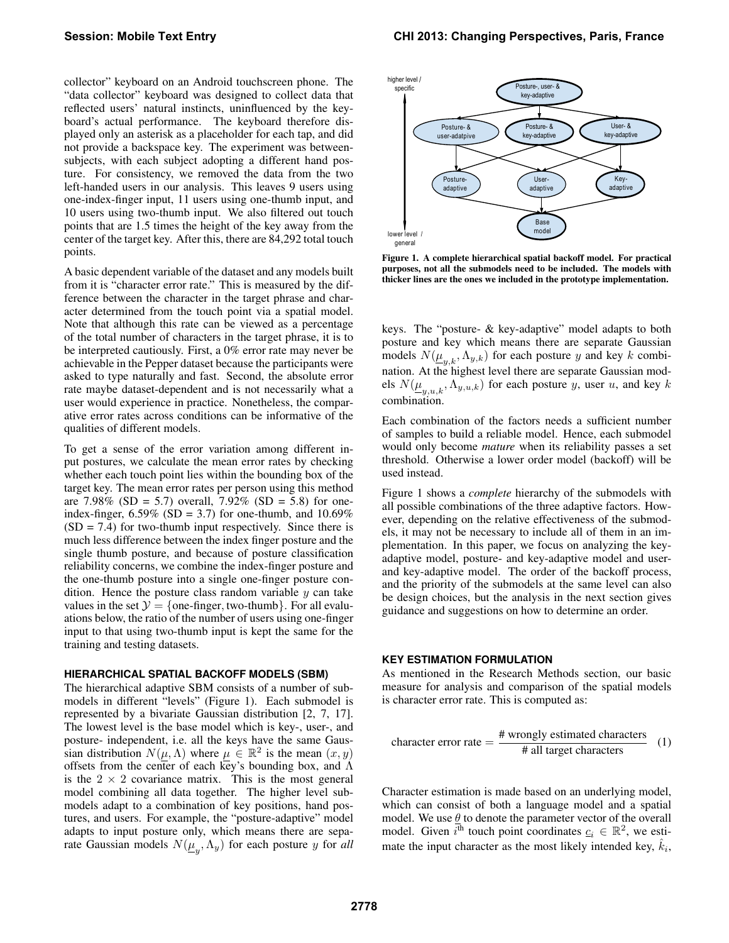collector" keyboard on an Android touchscreen phone. The "data collector" keyboard was designed to collect data that reflected users' natural instincts, uninfluenced by the keyboard's actual performance. The keyboard therefore displayed only an asterisk as a placeholder for each tap, and did not provide a backspace key. The experiment was betweensubjects, with each subject adopting a different hand posture. For consistency, we removed the data from the two left-handed users in our analysis. This leaves 9 users using one-index-finger input, 11 users using one-thumb input, and 10 users using two-thumb input. We also filtered out touch points that are 1.5 times the height of the key away from the center of the target key. After this, there are 84,292 total touch points.

A basic dependent variable of the dataset and any models built from it is "character error rate." This is measured by the difference between the character in the target phrase and character determined from the touch point via a spatial model. Note that although this rate can be viewed as a percentage of the total number of characters in the target phrase, it is to be interpreted cautiously. First, a 0% error rate may never be achievable in the Pepper dataset because the participants were asked to type naturally and fast. Second, the absolute error rate maybe dataset-dependent and is not necessarily what a user would experience in practice. Nonetheless, the comparative error rates across conditions can be informative of the qualities of different models.

To get a sense of the error variation among different input postures, we calculate the mean error rates by checking whether each touch point lies within the bounding box of the target key. The mean error rates per person using this method are 7.98% (SD = 5.7) overall, 7.92% (SD = 5.8) for oneindex-finger,  $6.59\%$  (SD = 3.7) for one-thumb, and  $10.69\%$  $(SD = 7.4)$  for two-thumb input respectively. Since there is much less difference between the index finger posture and the single thumb posture, and because of posture classification reliability concerns, we combine the index-finger posture and the one-thumb posture into a single one-finger posture condition. Hence the posture class random variable  $y$  can take values in the set  $\mathcal{Y} = \{$  one-finger, two-thumb  $\}$ . For all evaluations below, the ratio of the number of users using one-finger input to that using two-thumb input is kept the same for the training and testing datasets.

# **HIERARCHICAL SPATIAL BACKOFF MODELS (SBM)**

The hierarchical adaptive SBM consists of a number of submodels in different "levels" (Figure [1\)](#page-3-0). Each submodel is represented by a bivariate Gaussian distribution [\[2,](#page-9-1) [7,](#page-9-6) [17\]](#page-9-9). The lowest level is the base model which is key-, user-, and posture- independent, i.e. all the keys have the same Gaussian distribution  $N(\mu, \Lambda)$  where  $\mu \in \mathbb{R}^2$  is the mean  $(x, y)$ offsets from the center of each key's bounding box, and Λ is the  $2 \times 2$  covariance matrix. This is the most general model combining all data together. The higher level submodels adapt to a combination of key positions, hand postures, and users. For example, the "posture-adaptive" model adapts to input posture only, which means there are separate Gaussian models  $N(\underline{\mu}_y, \Lambda_y)$  for each posture y for *all* 



<span id="page-3-0"></span>Figure 1. A complete hierarchical spatial backoff model. For practical purposes, not all the submodels need to be included. The models with thicker lines are the ones we included in the prototype implementation.

keys. The "posture- & key-adaptive" model adapts to both posture and key which means there are separate Gaussian models  $N(\underline{\mu}_{y,k}, \Lambda_{y,k})$  for each posture y and key k combination. At the highest level there are separate Gaussian models  $N(\underline{\mu}_{y,u,k},\Lambda_{y,u,k})$  for each posture y, user u, and key k combination.

Each combination of the factors needs a sufficient number of samples to build a reliable model. Hence, each submodel would only become *mature* when its reliability passes a set threshold. Otherwise a lower order model (backoff) will be used instead.

Figure [1](#page-3-0) shows a *complete* hierarchy of the submodels with all possible combinations of the three adaptive factors. However, depending on the relative effectiveness of the submodels, it may not be necessary to include all of them in an implementation. In this paper, we focus on analyzing the keyadaptive model, posture- and key-adaptive model and userand key-adaptive model. The order of the backoff process, and the priority of the submodels at the same level can also be design choices, but the analysis in the next section gives guidance and suggestions on how to determine an order.

### **KEY ESTIMATION FORMULATION**

As mentioned in the Research Methods section, our basic measure for analysis and comparison of the spatial models is character error rate. This is computed as:

character error rate = 
$$
\frac{\text{# wrongly estimated characters}}{\text{# all target characters}}
$$
 (1)

Character estimation is made based on an underlying model, which can consist of both a language model and a spatial model. We use  $\theta$  to denote the parameter vector of the overall model. Given  $\bar{i}^{\text{th}}$  touch point coordinates  $c_i \in \mathbb{R}^2$ , we estimate the input character as the most likely intended key,  $\hat{k}_i$ ,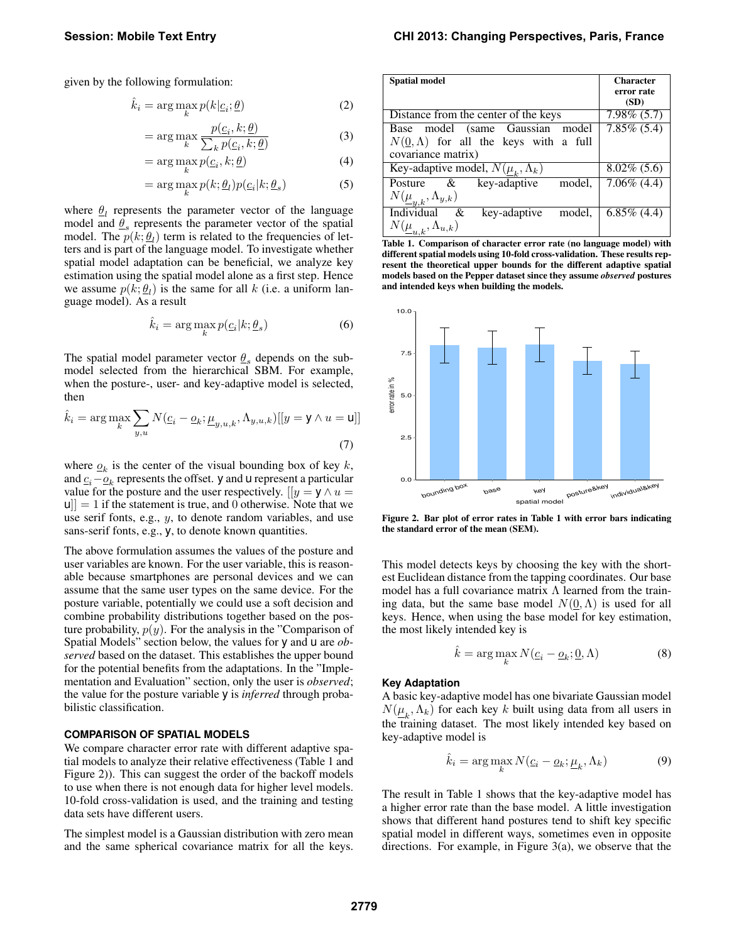given by the following formulation:

$$
\hat{k}_i = \arg\max_k p(k|\underline{c}_i; \underline{\theta})
$$
\n(2)

$$
= \arg \max_{k} \frac{p(\underline{c}_i, k; \underline{\theta})}{\sum_{k} p(\underline{c}_i, k; \underline{\theta})}
$$
(3)

$$
= \arg\max_{k} p(\underline{c}_i, k; \underline{\theta})
$$
\n(4)

$$
= \arg\max_{k} p(k; \underline{\theta}_l) p(\underline{c}_i | k; \underline{\theta}_s)
$$
\n(5)

where  $\theta_l$  represents the parameter vector of the language model and  $\underline{\theta}_s$  represents the parameter vector of the spatial model. The  $p(k; \underline{\theta}_l)$  term is related to the frequencies of letters and is part of the language model. To investigate whether spatial model adaptation can be beneficial, we analyze key estimation using the spatial model alone as a first step. Hence we assume  $p(k; \underline{\theta}_l)$  is the same for all k (i.e. a uniform language model). As a result

$$
\hat{k}_i = \arg \max_k p(\underline{c}_i | k; \underline{\theta}_s)
$$
\n(6)

The spatial model parameter vector  $\theta_s$  depends on the submodel selected from the hierarchical SBM. For example, when the posture-, user- and key-adaptive model is selected, then

$$
\hat{k}_i = \arg \max_{k} \sum_{y,u} N(\underline{c}_i - \underline{o}_k; \underline{\mu}_{y,u,k}, \Lambda_{y,u,k})[[y = \mathbf{y} \wedge u = \mathbf{u}]]
$$
\n(7)

where  $\mathcal{Q}_k$  is the center of the visual bounding box of key k, and  $c_i - o_k$  represents the offset. y and u represent a particular value for the posture and the user respectively.  $[|y| = y \wedge u]$  $|u|| = 1$  if the statement is true, and 0 otherwise. Note that we use serif fonts, e.g.,  $y$ , to denote random variables, and use sans-serif fonts, e.g., y, to denote known quantities.

The above formulation assumes the values of the posture and user variables are known. For the user variable, this is reasonable because smartphones are personal devices and we can assume that the same user types on the same device. For the posture variable, potentially we could use a soft decision and combine probability distributions together based on the posture probability,  $p(y)$ . For the analysis in the "Comparison of Spatial Models" section below, the values for y and u are *observed* based on the dataset. This establishes the upper bound for the potential benefits from the adaptations. In the "Implementation and Evaluation" section, only the user is *observed*; the value for the posture variable y is *inferred* through probabilistic classification.

## **COMPARISON OF SPATIAL MODELS**

We compare character error rate with different adaptive spatial models to analyze their relative effectiveness (Table [1](#page-4-0) and Figure [2\)](#page-4-1)). This can suggest the order of the backoff models to use when there is not enough data for higher level models. 10-fold cross-validation is used, and the training and testing data sets have different users.

The simplest model is a Gaussian distribution with zero mean and the same spherical covariance matrix for all the keys.

| <b>Spatial model</b>                                                                                 | <b>Character</b><br>error rate<br>(SD) |
|------------------------------------------------------------------------------------------------------|----------------------------------------|
| Distance from the center of the keys                                                                 | $7.98\%$ (5.7)                         |
| Base model (same Gaussian model<br>$N(0,\Lambda)$ for all the keys with a full<br>covariance matrix) | $7.85\%$ (5.4)                         |
| Key-adaptive model, $N(\mu_k, \Lambda_k)$                                                            | $8.02\%$ (5.6)                         |
| Posture $\&$ key-adaptive<br>model,<br>$N(\underline{\mu}_{y,k}, \Lambda_{y,k})$                     | $7.06\%$ (4.4)                         |
| Individual &<br>key-adaptive<br>model,<br>$N(\underline{\mu}_{u,k}, \Lambda_{u,k})$                  | $6.85\%$ (4.4)                         |

<span id="page-4-2"></span><span id="page-4-0"></span>Table 1. Comparison of character error rate (no language model) with different spatial models using 10-fold cross-validation. These results represent the theoretical upper bounds for the different adaptive spatial models based on the Pepper dataset since they assume *observed* postures and intended keys when building the models.



<span id="page-4-1"></span>Figure 2. Bar plot of error rates in Table [1](#page-4-0) with error bars indicating the standard error of the mean (SEM).

This model detects keys by choosing the key with the shortest Euclidean distance from the tapping coordinates. Our base model has a full covariance matrix  $\Lambda$  learned from the training data, but the same base model  $N(0,\Lambda)$  is used for all keys. Hence, when using the base model for key estimation, the most likely intended key is

$$
\hat{k} = \arg\max_{k} N(\underline{c}_i - \underline{o}_k; \underline{0}, \Lambda) \tag{8}
$$

## **Key Adaptation**

A basic key-adaptive model has one bivariate Gaussian model  $N(\underline{\mu}_k, \Lambda_k)$  for each key k built using data from all users in the training dataset. The most likely intended key based on key-adaptive model is

$$
\hat{k}_i = \arg\max_k N(\underline{c}_i - \underline{o}_k; \underline{\mu}_k, \Lambda_k)
$$
\n(9)

The result in Table [1](#page-4-0) shows that the key-adaptive model has a higher error rate than the base model. A little investigation shows that different hand postures tend to shift key specific spatial model in different ways, sometimes even in opposite directions. For example, in Figure [3\(a\),](#page-5-0) we observe that the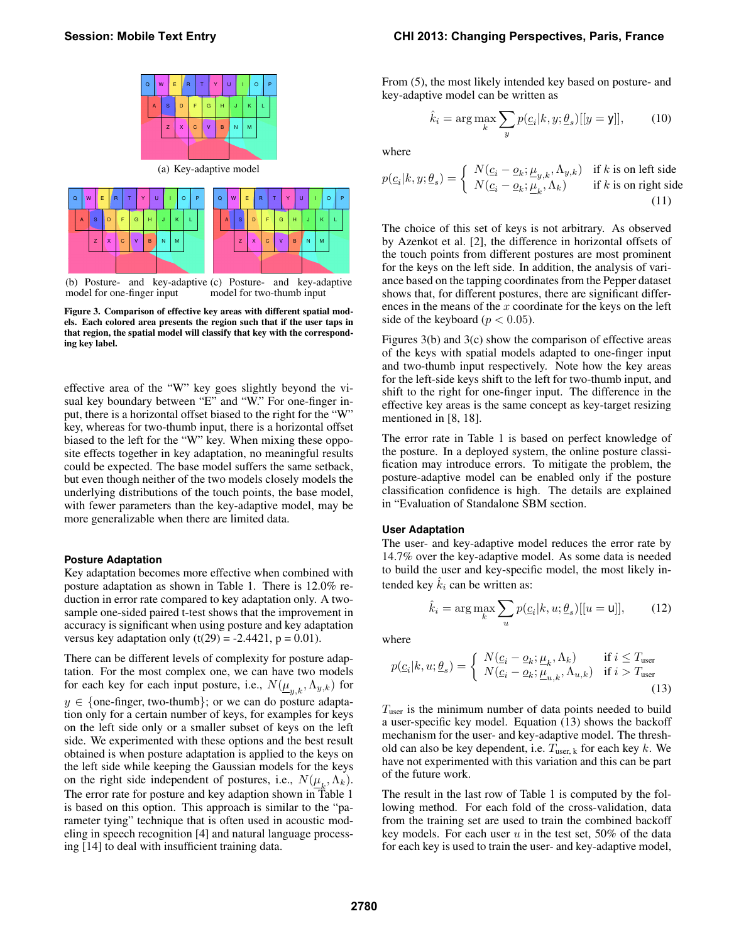<span id="page-5-0"></span>

<span id="page-5-2"></span>



<span id="page-5-1"></span>(b) Posture- and key-adaptive (c) Posture- and key-adaptive model for one-finger input model for two-thumb input

Figure 3. Comparison of effective key areas with different spatial models. Each colored area presents the region such that if the user taps in that region, the spatial model will classify that key with the corresponding key label.

effective area of the "W" key goes slightly beyond the visual key boundary between "E" and "W." For one-finger input, there is a horizontal offset biased to the right for the "W" key, whereas for two-thumb input, there is a horizontal offset biased to the left for the "W" key. When mixing these opposite effects together in key adaptation, no meaningful results could be expected. The base model suffers the same setback, but even though neither of the two models closely models the underlying distributions of the touch points, the base model, with fewer parameters than the key-adaptive model, may be more generalizable when there are limited data.

#### **Posture Adaptation**

Key adaptation becomes more effective when combined with posture adaptation as shown in Table [1.](#page-4-0) There is 12.0% reduction in error rate compared to key adaptation only. A twosample one-sided paired t-test shows that the improvement in accuracy is significant when using posture and key adaptation versus key adaptation only  $(t(29) = -2.4421, p = 0.01)$ .

There can be different levels of complexity for posture adaptation. For the most complex one, we can have two models for each key for each input posture, i.e.,  $N(\underline{\mu}_{y,k}, \Lambda_{y,k})$  for  $y \in \{\text{one-finger, two-thumb}\};$  or we can do posture adaptation only for a certain number of keys, for examples for keys on the left side only or a smaller subset of keys on the left side. We experimented with these options and the best result obtained is when posture adaptation is applied to the keys on the left side while keeping the Gaussian models for the keys on the right side independent of postures, i.e.,  $N(\underline{\mu}_k, \Lambda_k)$ . The error rate for posture and key adaption shown in Table [1](#page-4-0) is based on this option. This approach is similar to the "parameter tying" technique that is often used in acoustic modeling in speech recognition [\[4\]](#page-9-19) and natural language processing [\[14\]](#page-9-20) to deal with insufficient training data.

From [\(5\)](#page-4-2), the most likely intended key based on posture- and key-adaptive model can be written as

$$
\hat{k}_i = \arg\max_k \sum_{y} p(\underline{c}_i|k, y; \underline{\theta}_s)[[y = \mathbf{y}]], \quad (10)
$$

where

$$
p(\underline{c}_i|k, y; \underline{\theta}_s) = \begin{cases} N(\underline{c}_i - \underline{o}_k; \underline{\mu}_{y,k}, \Lambda_{y,k}) & \text{if } k \text{ is on left side} \\ N(\underline{c}_i - \underline{o}_k; \underline{\mu}_k, \Lambda_k) & \text{if } k \text{ is on right side} \end{cases}
$$
(11)

The choice of this set of keys is not arbitrary. As observed by Azenkot et al. [\[2\]](#page-9-1), the difference in horizontal offsets of the touch points from different postures are most prominent for the keys on the left side. In addition, the analysis of variance based on the tapping coordinates from the Pepper dataset shows that, for different postures, there are significant differences in the means of the  $x$  coordinate for the keys on the left side of the keyboard ( $p < 0.05$ ).

Figures [3\(b\)](#page-5-1) and [3\(c\)](#page-5-2) show the comparison of effective areas of the keys with spatial models adapted to one-finger input and two-thumb input respectively. Note how the key areas for the left-side keys shift to the left for two-thumb input, and shift to the right for one-finger input. The difference in the effective key areas is the same concept as key-target resizing mentioned in [\[8,](#page-9-10) [18\]](#page-9-11).

The error rate in Table [1](#page-4-0) is based on perfect knowledge of the posture. In a deployed system, the online posture classification may introduce errors. To mitigate the problem, the posture-adaptive model can be enabled only if the posture classification confidence is high. The details are explained in "Evaluation of Standalone SBM section.

#### **User Adaptation**

The user- and key-adaptive model reduces the error rate by 14.7% over the key-adaptive model. As some data is needed to build the user and key-specific model, the most likely intended key  $k_i$  can be written as:

<span id="page-5-3"></span>
$$
\hat{k}_i = \arg\max_k \sum_u p(\underline{c}_i|k, u; \underline{\theta}_s)[[u = \mathbf{u}]], \quad (12)
$$

where

$$
p(\underline{c}_{i}|k, u; \underline{\theta}_{s}) = \begin{cases} N(\underline{c}_{i} - \underline{o}_{k}; \underline{\mu}_{k}, \Lambda_{k}) & \text{if } i \leq T_{\text{user}} \\ N(\underline{c}_{i} - \underline{o}_{k}; \underline{\mu}_{u,k}, \Lambda_{u,k}) & \text{if } i > T_{\text{user}} \end{cases}
$$
(13)

 $T_{user}$  is the minimum number of data points needed to build a user-specific key model. Equation [\(13\)](#page-5-3) shows the backoff mechanism for the user- and key-adaptive model. The threshold can also be key dependent, i.e.  $T_{user, k}$  for each key k. We have not experimented with this variation and this can be part of the future work.

The result in the last row of Table [1](#page-4-0) is computed by the following method. For each fold of the cross-validation, data from the training set are used to train the combined backoff key models. For each user  $u$  in the test set, 50% of the data for each key is used to train the user- and key-adaptive model,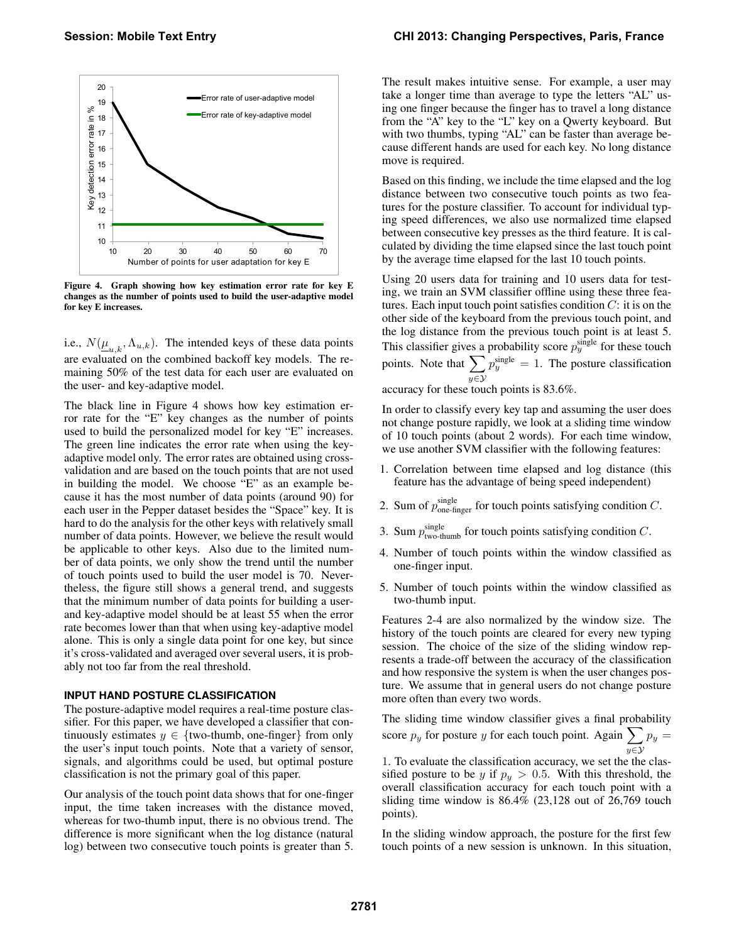

<span id="page-6-0"></span>Figure 4. Graph showing how key estimation error rate for key E changes as the number of points used to build the user-adaptive model for key E increases.

i.e.,  $N(\mu_{u,k}, \Lambda_{u,k})$ . The intended keys of these data points are evaluated on the combined backoff key models. The remaining 50% of the test data for each user are evaluated on the user- and key-adaptive model.

The black line in Figure [4](#page-6-0) shows how key estimation error rate for the "E" key changes as the number of points used to build the personalized model for key "E" increases. The green line indicates the error rate when using the keyadaptive model only. The error rates are obtained using crossvalidation and are based on the touch points that are not used in building the model. We choose "E" as an example because it has the most number of data points (around 90) for each user in the Pepper dataset besides the "Space" key. It is hard to do the analysis for the other keys with relatively small number of data points. However, we believe the result would be applicable to other keys. Also due to the limited number of data points, we only show the trend until the number of touch points used to build the user model is 70. Nevertheless, the figure still shows a general trend, and suggests that the minimum number of data points for building a userand key-adaptive model should be at least 55 when the error rate becomes lower than that when using key-adaptive model alone. This is only a single data point for one key, but since it's cross-validated and averaged over several users, it is probably not too far from the real threshold.

## **INPUT HAND POSTURE CLASSIFICATION**

The posture-adaptive model requires a real-time posture classifier. For this paper, we have developed a classifier that continuously estimates  $y \in \{two\text{-thumb, one-finger}\}$  from only the user's input touch points. Note that a variety of sensor, signals, and algorithms could be used, but optimal posture classification is not the primary goal of this paper.

Our analysis of the touch point data shows that for one-finger input, the time taken increases with the distance moved, whereas for two-thumb input, there is no obvious trend. The difference is more significant when the log distance (natural log) between two consecutive touch points is greater than 5.

The result makes intuitive sense. For example, a user may take a longer time than average to type the letters "AL" using one finger because the finger has to travel a long distance from the "A" key to the "L" key on a Qwerty keyboard. But with two thumbs, typing "AL" can be faster than average because different hands are used for each key. No long distance move is required.

Based on this finding, we include the time elapsed and the log distance between two consecutive touch points as two features for the posture classifier. To account for individual typing speed differences, we also use normalized time elapsed between consecutive key presses as the third feature. It is calculated by dividing the time elapsed since the last touch point by the average time elapsed for the last 10 touch points.

Using 20 users data for training and 10 users data for testing, we train an SVM classifier offline using these three features. Each input touch point satisfies condition  $C$ : it is on the other side of the keyboard from the previous touch point, and the log distance from the previous touch point is at least 5. This classifier gives a probability score  $p_y^{\text{single}}$  for these touch points. Note that  $\sum$ y∈Y  $p_y^{\text{single}} = 1$ . The posture classification

accuracy for these touch points is 83.6%.

In order to classify every key tap and assuming the user does not change posture rapidly, we look at a sliding time window of 10 touch points (about 2 words). For each time window, we use another SVM classifier with the following features:

- 1. Correlation between time elapsed and log distance (this feature has the advantage of being speed independent)
- 2. Sum of  $p_{one-finger}^{single}$  for touch points satisfying condition C.
- 3. Sum  $p_{\text{two-thumb}}^{\text{single}}$  for touch points satisfying condition C.
- 4. Number of touch points within the window classified as one-finger input.
- 5. Number of touch points within the window classified as two-thumb input.

Features 2-4 are also normalized by the window size. The history of the touch points are cleared for every new typing session. The choice of the size of the sliding window represents a trade-off between the accuracy of the classification and how responsive the system is when the user changes posture. We assume that in general users do not change posture more often than every two words.

The sliding time window classifier gives a final probability score  $p_y$  for posture y for each touch point. Again  $\sum p_y =$  $y \in \mathcal{Y}$ 

1. To evaluate the classification accuracy, we set the the classified posture to be y if  $p_y > 0.5$ . With this threshold, the overall classification accuracy for each touch point with a sliding time window is 86.4% (23,128 out of 26,769 touch points).

In the sliding window approach, the posture for the first few touch points of a new session is unknown. In this situation,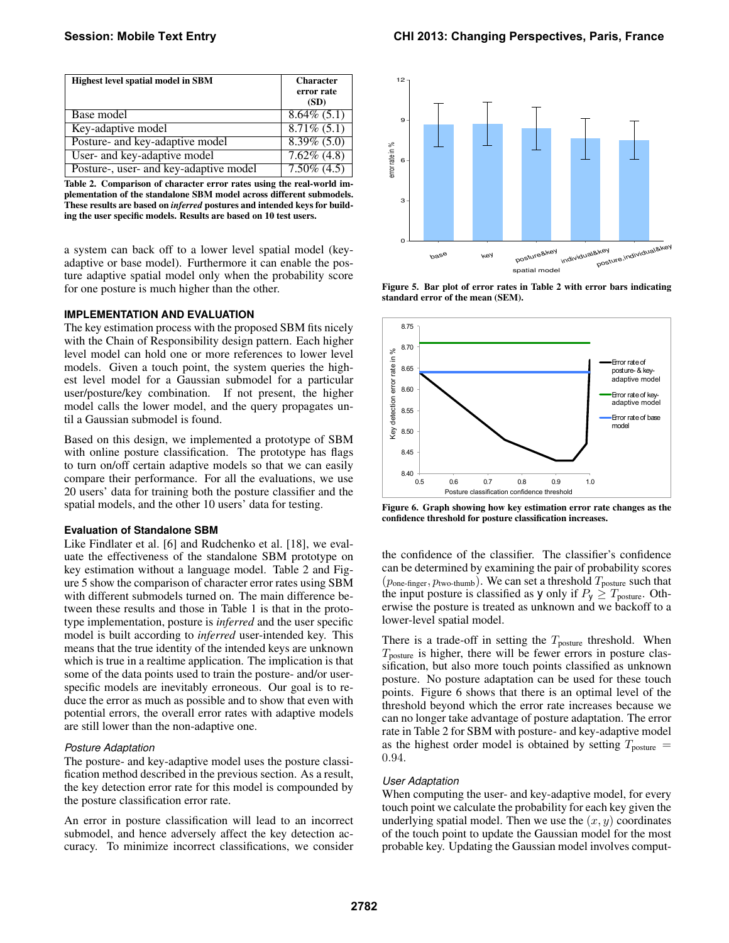| Highest level spatial model in SBM     | <b>Character</b><br>error rate<br>(SD) |
|----------------------------------------|----------------------------------------|
| Base model                             | $8.64\%$ (5.1)                         |
| Key-adaptive model                     | $8.71\%$ (5.1)                         |
| Posture- and key-adaptive model        | $8.39\%$ (5.0)                         |
| User- and key-adaptive model           | $7.62\%$ (4.8)                         |
| Posture-, user- and key-adaptive model | $7.50\%$ (4.5)                         |

<span id="page-7-0"></span>Table 2. Comparison of character error rates using the real-world implementation of the standalone SBM model across different submodels. These results are based on *inferred* postures and intended keys for building the user specific models. Results are based on 10 test users.

a system can back off to a lower level spatial model (keyadaptive or base model). Furthermore it can enable the posture adaptive spatial model only when the probability score for one posture is much higher than the other.

## **IMPLEMENTATION AND EVALUATION**

The key estimation process with the proposed SBM fits nicely with the Chain of Responsibility design pattern. Each higher level model can hold one or more references to lower level models. Given a touch point, the system queries the highest level model for a Gaussian submodel for a particular user/posture/key combination. If not present, the higher model calls the lower model, and the query propagates until a Gaussian submodel is found.

Based on this design, we implemented a prototype of SBM with online posture classification. The prototype has flags to turn on/off certain adaptive models so that we can easily compare their performance. For all the evaluations, we use 20 users' data for training both the posture classifier and the spatial models, and the other 10 users' data for testing.

## **Evaluation of Standalone SBM**

Like Findlater et al. [\[6\]](#page-9-2) and Rudchenko et al. [\[18\]](#page-9-11), we evaluate the effectiveness of the standalone SBM prototype on key estimation without a language model. Table [2](#page-7-0) and Figure [5](#page-7-1) show the comparison of character error rates using SBM with different submodels turned on. The main difference between these results and those in Table [1](#page-4-0) is that in the prototype implementation, posture is *inferred* and the user specific model is built according to *inferred* user-intended key. This means that the true identity of the intended keys are unknown which is true in a realtime application. The implication is that some of the data points used to train the posture- and/or userspecific models are inevitably erroneous. Our goal is to reduce the error as much as possible and to show that even with potential errors, the overall error rates with adaptive models are still lower than the non-adaptive one. a system can back off to a lower level spatial model (key-<br>dadpive or base model). Furthermore it can enable the positiver dataptive spatial model only when the probability scent<br>for one positure is much lingher than the o

## *Posture Adaptation*

The posture- and key-adaptive model uses the posture classification method described in the previous section. As a result, the key detection error rate for this model is compounded by the posture classification error rate.

An error in posture classification will lead to an incorrect submodel, and hence adversely affect the key detection ac-



<span id="page-7-1"></span>Figure 5. Bar plot of error rates in Table [2](#page-7-0) with error bars indicating standard error of the mean (SEM).



<span id="page-7-2"></span>Figure 6. Graph showing how key estimation error rate changes as the confidence threshold for posture classification increases.

the confidence of the classifier. The classifier's confidence can be determined by examining the pair of probability scores ( $p_{one-finger}, p_{two-thumb}$ ). We can set a threshold  $T_{posture}$  such that the input posture is classified as y only if  $P_y \geq T_{\text{posture}}$ . Otherwise the posture is treated as unknown and we backoff to a lower-level spatial model.

There is a trade-off in setting the  $T_{\text{posture}}$  threshold. When  $T_{\text{posture}}$  is higher, there will be fewer errors in posture classification, but also more touch points classified as unknown posture. No posture adaptation can be used for these touch points. Figure [6](#page-7-2) shows that there is an optimal level of the threshold beyond which the error rate increases because we can no longer take advantage of posture adaptation. The error rate in Table [2](#page-7-0) for SBM with posture- and key-adaptive model as the highest order model is obtained by setting  $T_{\text{posture}} =$ 0.94.

## *User Adaptation*

When computing the user- and key-adaptive model, for every touch point we calculate the probability for each key given the underlying spatial model. Then we use the  $(x, y)$  coordinates of the touch point to update the Gaussian model for the most probable key. Updating the Gaussian model involves comput-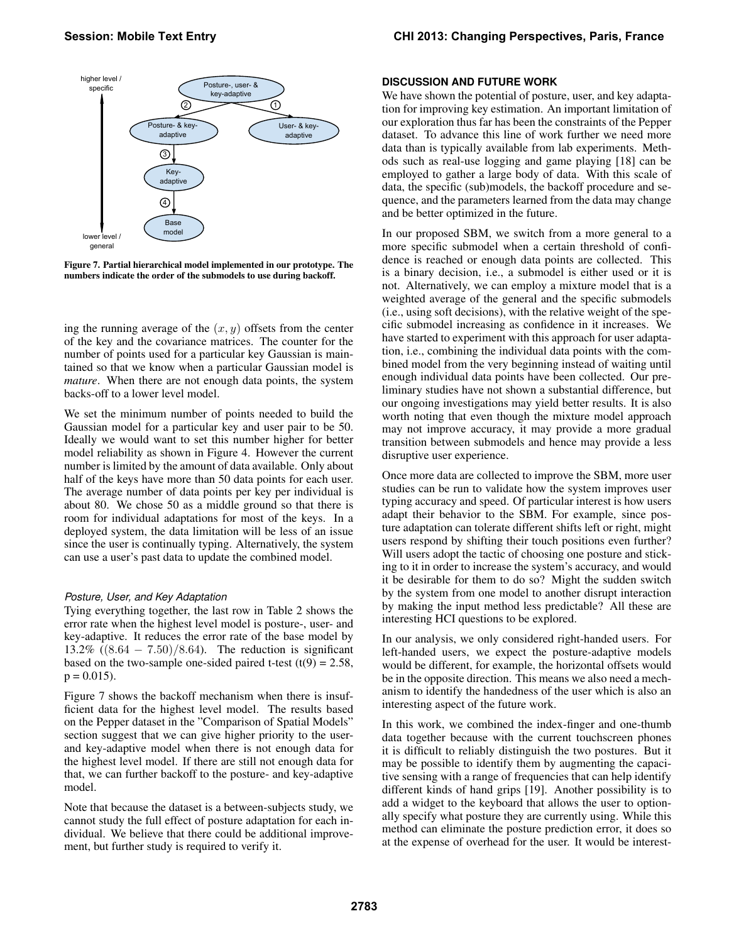

<span id="page-8-0"></span>Figure 7. Partial hierarchical model implemented in our prototype. The numbers indicate the order of the submodels to use during backoff.

ing the running average of the  $(x, y)$  offsets from the center of the key and the covariance matrices. The counter for the number of points used for a particular key Gaussian is maintained so that we know when a particular Gaussian model is *mature*. When there are not enough data points, the system backs-off to a lower level model.

We set the minimum number of points needed to build the Gaussian model for a particular key and user pair to be 50. Ideally we would want to set this number higher for better model reliability as shown in Figure [4.](#page-6-0) However the current number is limited by the amount of data available. Only about half of the keys have more than 50 data points for each user. The average number of data points per key per individual is about 80. We chose 50 as a middle ground so that there is room for individual adaptations for most of the keys. In a deployed system, the data limitation will be less of an issue since the user is continually typing. Alternatively, the system can use a user's past data to update the combined model.

# *Posture, User, and Key Adaptation*

Tying everything together, the last row in Table [2](#page-7-0) shows the error rate when the highest level model is posture-, user- and key-adaptive. It reduces the error rate of the base model by 13.2%  $((8.64 - 7.50)/8.64)$ . The reduction is significant based on the two-sample one-sided paired t-test  $(t(9) = 2.58$ ,  $p = 0.015$ .

Figure [7](#page-8-0) shows the backoff mechanism when there is insufficient data for the highest level model. The results based on the Pepper dataset in the "Comparison of Spatial Models" section suggest that we can give higher priority to the userand key-adaptive model when there is not enough data for the highest level model. If there are still not enough data for that, we can further backoff to the posture- and key-adaptive model.

Note that because the dataset is a between-subjects study, we cannot study the full effect of posture adaptation for each individual. We believe that there could be additional improvement, but further study is required to verify it.

# **DISCUSSION AND FUTURE WORK**

We have shown the potential of posture, user, and key adaptation for improving key estimation. An important limitation of our exploration thus far has been the constraints of the Pepper dataset. To advance this line of work further we need more data than is typically available from lab experiments. Methods such as real-use logging and game playing [\[18\]](#page-9-11) can be employed to gather a large body of data. With this scale of data, the specific (sub)models, the backoff procedure and sequence, and the parameters learned from the data may change and be better optimized in the future.

In our proposed SBM, we switch from a more general to a more specific submodel when a certain threshold of confidence is reached or enough data points are collected. This is a binary decision, i.e., a submodel is either used or it is not. Alternatively, we can employ a mixture model that is a weighted average of the general and the specific submodels (i.e., using soft decisions), with the relative weight of the specific submodel increasing as confidence in it increases. We have started to experiment with this approach for user adaptation, i.e., combining the individual data points with the combined model from the very beginning instead of waiting until enough individual data points have been collected. Our preliminary studies have not shown a substantial difference, but our ongoing investigations may yield better results. It is also worth noting that even though the mixture model approach may not improve accuracy, it may provide a more gradual transition between submodels and hence may provide a less disruptive user experience.

Once more data are collected to improve the SBM, more user studies can be run to validate how the system improves user typing accuracy and speed. Of particular interest is how users adapt their behavior to the SBM. For example, since posture adaptation can tolerate different shifts left or right, might users respond by shifting their touch positions even further? Will users adopt the tactic of choosing one posture and sticking to it in order to increase the system's accuracy, and would it be desirable for them to do so? Might the sudden switch by the system from one model to another disrupt interaction by making the input method less predictable? All these are interesting HCI questions to be explored.

In our analysis, we only considered right-handed users. For left-handed users, we expect the posture-adaptive models would be different, for example, the horizontal offsets would be in the opposite direction. This means we also need a mechanism to identify the handedness of the user which is also an interesting aspect of the future work.

In this work, we combined the index-finger and one-thumb data together because with the current touchscreen phones it is difficult to reliably distinguish the two postures. But it may be possible to identify them by augmenting the capacitive sensing with a range of frequencies that can help identify different kinds of hand grips [\[19\]](#page-9-21). Another possibility is to add a widget to the keyboard that allows the user to optionally specify what posture they are currently using. While this method can eliminate the posture prediction error, it does so at the expense of overhead for the user. It would be interest